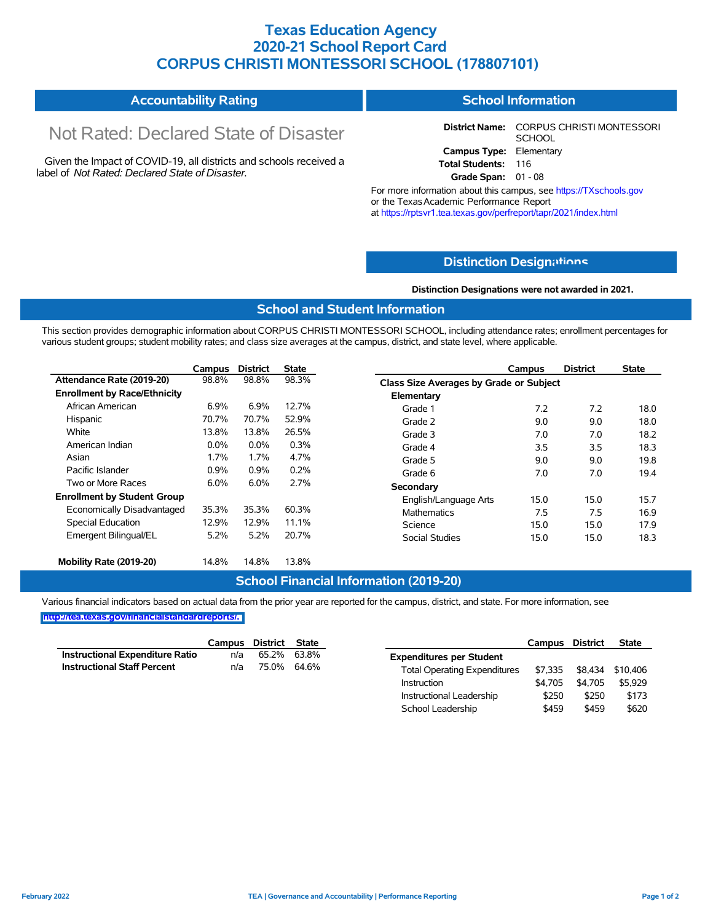## **Texas Education Agency 2020-21 School Report Card CORPUS CHRISTI MONTESSORI SCHOOL (178807101)**

#### **Accountability Rating School Information**

# Not Rated: Declared State of Disaster

Given the Impact of COVID-19, all districts and schools received a label of *Not Rated: Declared State of Disaster.*

**District Name:** CORPUS CHRISTI MONTESSORI **SCHOOL Campus Type:** Elementary **Total Students:** 116

**Grade Span:** 01 - 08

For more information about this campus, see https://TXschools.gov or the Texas Academic Performance Report at https://rptsvr1.tea.texas.gov/perfreport/tapr/2021/index.html

#### **Distinction Design[ations](https://TXschools.gov)**

**Distinction Designations were not awarded in 2021.**

School Leadership  $$459$  \$459 \$620

#### **School and Student Information**

This section provides demographic information about CORPUS CHRISTI MONTESSORI SCHOOL, including attendance rates; enrollment percentages for various student groups; student mobility rates; and class size averages at the campus, district, and state level, where applicable.

|                                     | Campus | <b>District</b> | <b>State</b> | Campus                |                                         | <b>District</b> | <b>State</b> |
|-------------------------------------|--------|-----------------|--------------|-----------------------|-----------------------------------------|-----------------|--------------|
| Attendance Rate (2019-20)           | 98.8%  | 98.8%           | 98.3%        |                       | Class Size Averages by Grade or Subject |                 |              |
| <b>Enrollment by Race/Ethnicity</b> |        |                 |              | Elementary            |                                         |                 |              |
| African American                    | 6.9%   | 6.9%            | 12.7%        | Grade 1               | 7.2                                     | 7.2             | 18.0         |
| Hispanic                            | 70.7%  | 70.7%           | 52.9%        | Grade 2               | 9.0                                     | 9.0             | 18.0         |
| White                               | 13.8%  | 13.8%           | 26.5%        | Grade 3               | 7.0                                     | 7.0             | 18.2         |
| American Indian                     | 0.0%   | $0.0\%$         | 0.3%         | Grade 4               | 3.5                                     | 3.5             | 18.3         |
| Asian                               | 1.7%   | 1.7%            | 4.7%         | Grade 5               | 9.0                                     | 9.0             | 19.8         |
| Pacific Islander                    | 0.9%   | 0.9%            | 0.2%         | Grade 6               | 7.0                                     | 7.0             | 19.4         |
| Two or More Races                   | 6.0%   | 6.0%            | 2.7%         | Secondary             |                                         |                 |              |
| <b>Enrollment by Student Group</b>  |        |                 |              | English/Language Arts | 15.0                                    | 15.0            | 15.7         |
| Economically Disadvantaged          | 35.3%  | 35.3%           | 60.3%        | <b>Mathematics</b>    | 7.5                                     | 7.5             | 16.9         |
| Special Education                   | 12.9%  | 12.9%           | 11.1%        | Science               | 15.0                                    | 15.0            | 17.9         |
| Emergent Bilingual/EL               | 5.2%   | 5.2%            | 20.7%        | <b>Social Studies</b> | 15.0                                    | 15.0            | 18.3         |
| Mobility Rate (2019-20)             | 14.8%  | 14.8%           | 13.8%        |                       |                                         |                 |              |

#### **School Financial Information (2019-20)**

Various financial indicators based on actual data from the prior year are reported for the campus, district, and state. For more information, see

**[http://tea.texas.gov/financialstandardreports/.](http://tea.texas.gov/financialstandardreports/)**

|                                        | Campus | District | State       |                                     | Campus  | <b>District</b> | <b>State</b>     |
|----------------------------------------|--------|----------|-------------|-------------------------------------|---------|-----------------|------------------|
| <b>Instructional Expenditure Ratio</b> | n/a    | 65.2%    | 63.8%       | <b>Expenditures per Student</b>     |         |                 |                  |
| <b>Instructional Staff Percent</b>     | n/a    |          | 75.0% 64.6% | <b>Total Operating Expenditures</b> | \$7.335 |                 | \$8,434 \$10,406 |
|                                        |        |          |             | Instruction                         | \$4.705 | \$4.705         | \$5.929          |
|                                        |        |          |             | Instructional Leadership            | \$250   | \$250           | \$173            |